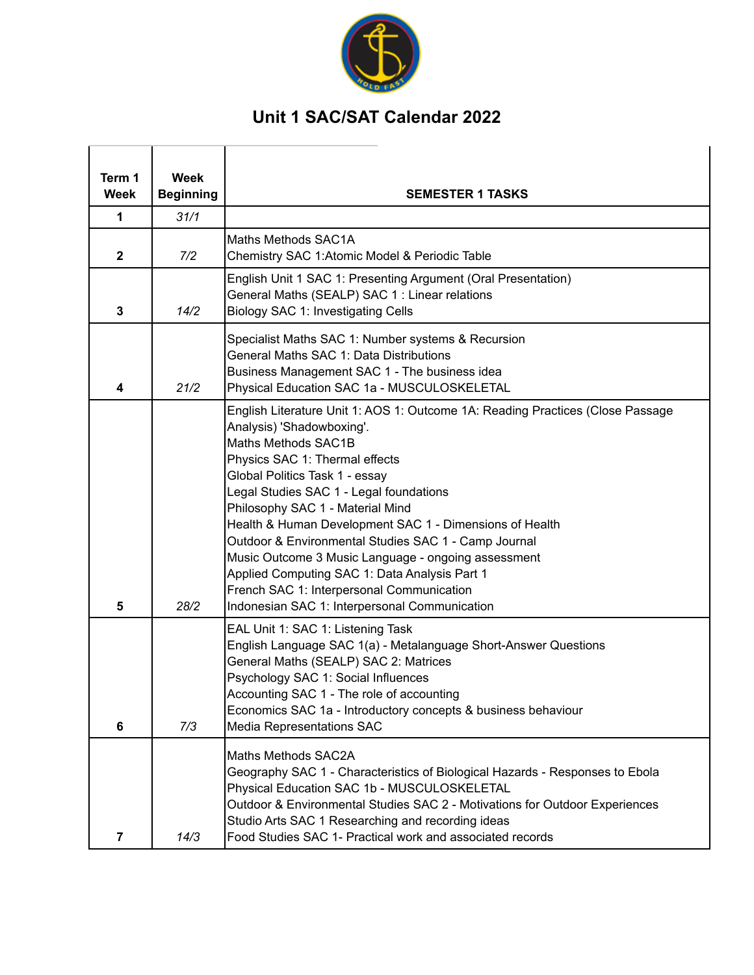

## **Unit 1 SAC/SAT Calendar 2022**

| Term 1<br>Week | <b>Week</b><br><b>Beginning</b> | <b>SEMESTER 1 TASKS</b>                                                                                                                                                                                                                                                                                                                                                                                                                                                                                                                                                                                        |
|----------------|---------------------------------|----------------------------------------------------------------------------------------------------------------------------------------------------------------------------------------------------------------------------------------------------------------------------------------------------------------------------------------------------------------------------------------------------------------------------------------------------------------------------------------------------------------------------------------------------------------------------------------------------------------|
| 1              | 31/1                            |                                                                                                                                                                                                                                                                                                                                                                                                                                                                                                                                                                                                                |
|                |                                 |                                                                                                                                                                                                                                                                                                                                                                                                                                                                                                                                                                                                                |
| $\mathbf 2$    | 7/2                             | Maths Methods SAC1A<br>Chemistry SAC 1: Atomic Model & Periodic Table                                                                                                                                                                                                                                                                                                                                                                                                                                                                                                                                          |
| 3              | 14/2                            | English Unit 1 SAC 1: Presenting Argument (Oral Presentation)<br>General Maths (SEALP) SAC 1 : Linear relations<br><b>Biology SAC 1: Investigating Cells</b>                                                                                                                                                                                                                                                                                                                                                                                                                                                   |
| 4              | 21/2                            | Specialist Maths SAC 1: Number systems & Recursion<br>General Maths SAC 1: Data Distributions<br>Business Management SAC 1 - The business idea<br>Physical Education SAC 1a - MUSCULOSKELETAL                                                                                                                                                                                                                                                                                                                                                                                                                  |
| 5              | 28/2                            | English Literature Unit 1: AOS 1: Outcome 1A: Reading Practices (Close Passage<br>Analysis) 'Shadowboxing'.<br>Maths Methods SAC1B<br>Physics SAC 1: Thermal effects<br>Global Politics Task 1 - essay<br>Legal Studies SAC 1 - Legal foundations<br>Philosophy SAC 1 - Material Mind<br>Health & Human Development SAC 1 - Dimensions of Health<br>Outdoor & Environmental Studies SAC 1 - Camp Journal<br>Music Outcome 3 Music Language - ongoing assessment<br>Applied Computing SAC 1: Data Analysis Part 1<br>French SAC 1: Interpersonal Communication<br>Indonesian SAC 1: Interpersonal Communication |
| 6              | 7/3                             | EAL Unit 1: SAC 1: Listening Task<br>English Language SAC 1(a) - Metalanguage Short-Answer Questions<br>General Maths (SEALP) SAC 2: Matrices<br>Psychology SAC 1: Social Influences<br>Accounting SAC 1 - The role of accounting<br>Economics SAC 1a - Introductory concepts & business behaviour<br><b>Media Representations SAC</b>                                                                                                                                                                                                                                                                         |
| 7              | 14/3                            | Maths Methods SAC2A<br>Geography SAC 1 - Characteristics of Biological Hazards - Responses to Ebola<br>Physical Education SAC 1b - MUSCULOSKELETAL<br>Outdoor & Environmental Studies SAC 2 - Motivations for Outdoor Experiences<br>Studio Arts SAC 1 Researching and recording ideas<br>Food Studies SAC 1- Practical work and associated records                                                                                                                                                                                                                                                            |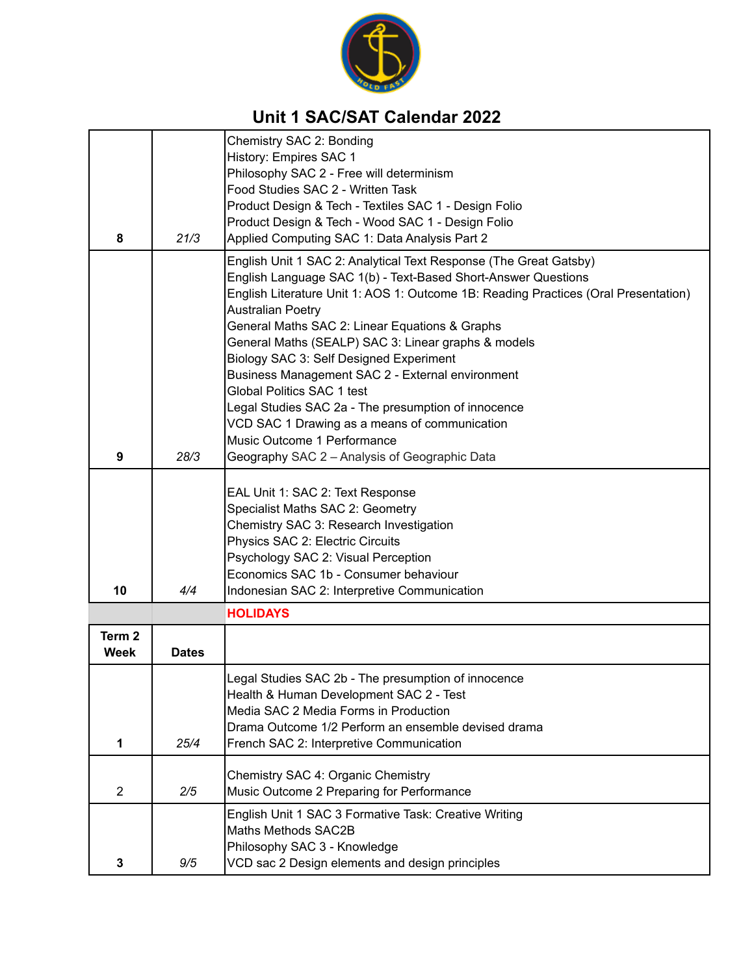

## **Unit 1 SAC/SAT Calendar 2022**

|                           |              | Chemistry SAC 2: Bonding                                                                                        |
|---------------------------|--------------|-----------------------------------------------------------------------------------------------------------------|
|                           |              | History: Empires SAC 1<br>Philosophy SAC 2 - Free will determinism                                              |
|                           |              | Food Studies SAC 2 - Written Task                                                                               |
|                           |              | Product Design & Tech - Textiles SAC 1 - Design Folio                                                           |
|                           |              | Product Design & Tech - Wood SAC 1 - Design Folio                                                               |
| 8                         | 21/3         | Applied Computing SAC 1: Data Analysis Part 2                                                                   |
|                           |              | English Unit 1 SAC 2: Analytical Text Response (The Great Gatsby)                                               |
|                           |              | English Language SAC 1(b) - Text-Based Short-Answer Questions                                                   |
|                           |              | English Literature Unit 1: AOS 1: Outcome 1B: Reading Practices (Oral Presentation)<br><b>Australian Poetry</b> |
|                           |              | General Maths SAC 2: Linear Equations & Graphs                                                                  |
|                           |              | General Maths (SEALP) SAC 3: Linear graphs & models                                                             |
|                           |              | Biology SAC 3: Self Designed Experiment                                                                         |
|                           |              | Business Management SAC 2 - External environment                                                                |
|                           |              | Global Politics SAC 1 test<br>Legal Studies SAC 2a - The presumption of innocence                               |
|                           |              | VCD SAC 1 Drawing as a means of communication                                                                   |
|                           |              | Music Outcome 1 Performance                                                                                     |
| 9                         | 28/3         | Geography SAC 2 - Analysis of Geographic Data                                                                   |
|                           |              |                                                                                                                 |
|                           |              | EAL Unit 1: SAC 2: Text Response<br>Specialist Maths SAC 2: Geometry                                            |
|                           |              | Chemistry SAC 3: Research Investigation                                                                         |
|                           |              | Physics SAC 2: Electric Circuits                                                                                |
|                           |              | Psychology SAC 2: Visual Perception                                                                             |
|                           |              | Economics SAC 1b - Consumer behaviour                                                                           |
| 10                        | 4/4          | Indonesian SAC 2: Interpretive Communication                                                                    |
|                           |              | <b>HOLIDAYS</b>                                                                                                 |
| Term <sub>2</sub><br>Week |              |                                                                                                                 |
|                           | <b>Dates</b> |                                                                                                                 |
|                           |              | Legal Studies SAC 2b - The presumption of innocence                                                             |
|                           |              | Health & Human Development SAC 2 - Test<br>Media SAC 2 Media Forms in Production                                |
|                           |              | Drama Outcome 1/2 Perform an ensemble devised drama                                                             |
| 1                         | 25/4         | French SAC 2: Interpretive Communication                                                                        |
|                           |              | Chemistry SAC 4: Organic Chemistry                                                                              |
| $\overline{2}$            | 2/5          | Music Outcome 2 Preparing for Performance                                                                       |
|                           |              | English Unit 1 SAC 3 Formative Task: Creative Writing                                                           |
|                           |              | Maths Methods SAC2B                                                                                             |
|                           |              | Philosophy SAC 3 - Knowledge                                                                                    |
| 3                         | 9/5          | VCD sac 2 Design elements and design principles                                                                 |